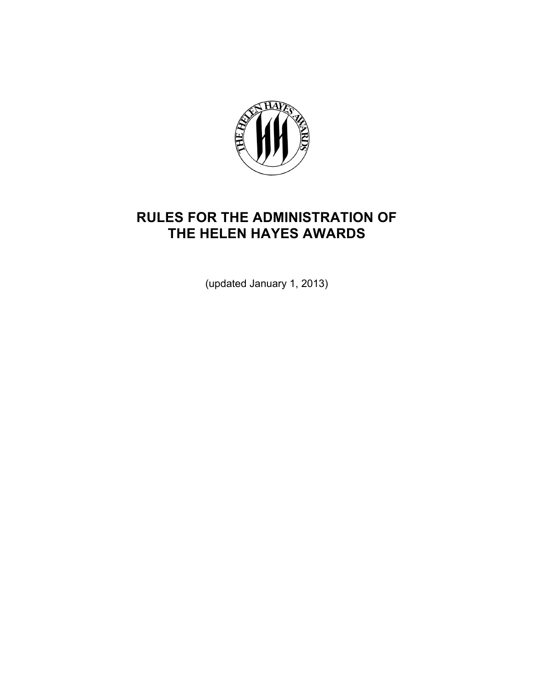

# **RULES FOR THE ADMINISTRATION OF THE HELEN HAYES AWARDS**

(updated January 1, 2013)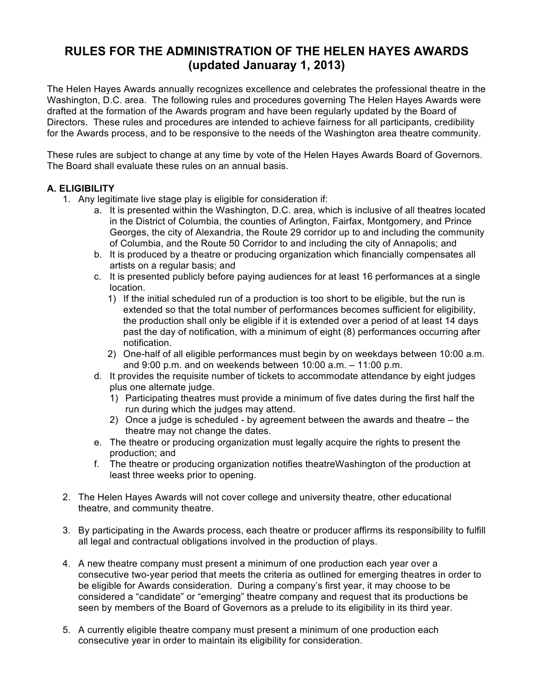# **RULES FOR THE ADMINISTRATION OF THE HELEN HAYES AWARDS (updated Januaray 1, 2013)**

The Helen Hayes Awards annually recognizes excellence and celebrates the professional theatre in the Washington, D.C. area. The following rules and procedures governing The Helen Hayes Awards were drafted at the formation of the Awards program and have been regularly updated by the Board of Directors. These rules and procedures are intended to achieve fairness for all participants, credibility for the Awards process, and to be responsive to the needs of the Washington area theatre community.

These rules are subject to change at any time by vote of the Helen Hayes Awards Board of Governors. The Board shall evaluate these rules on an annual basis.

# **A. ELIGIBILITY**

- 1. Any legitimate live stage play is eligible for consideration if:
	- a. It is presented within the Washington, D.C. area, which is inclusive of all theatres located in the District of Columbia, the counties of Arlington, Fairfax, Montgomery, and Prince Georges, the city of Alexandria, the Route 29 corridor up to and including the community of Columbia, and the Route 50 Corridor to and including the city of Annapolis; and
	- b. It is produced by a theatre or producing organization which financially compensates all artists on a regular basis; and
	- c. It is presented publicly before paying audiences for at least 16 performances at a single location.
		- 1) If the initial scheduled run of a production is too short to be eligible, but the run is extended so that the total number of performances becomes sufficient for eligibility, the production shall only be eligible if it is extended over a period of at least 14 days past the day of notification, with a minimum of eight (8) performances occurring after notification.
		- 2) One-half of all eligible performances must begin by on weekdays between 10:00 a.m. and 9:00 p.m. and on weekends between 10:00 a.m. – 11:00 p.m.
	- d. It provides the requisite number of tickets to accommodate attendance by eight judges plus one alternate judge.
		- 1) Participating theatres must provide a minimum of five dates during the first half the run during which the judges may attend.
		- 2) Once a judge is scheduled by agreement between the awards and theatre the theatre may not change the dates.
	- e. The theatre or producing organization must legally acquire the rights to present the production; and
	- f. The theatre or producing organization notifies theatreWashington of the production at least three weeks prior to opening.
- 2. The Helen Hayes Awards will not cover college and university theatre, other educational theatre, and community theatre.
- 3. By participating in the Awards process, each theatre or producer affirms its responsibility to fulfill all legal and contractual obligations involved in the production of plays.
- 4. A new theatre company must present a minimum of one production each year over a consecutive two-year period that meets the criteria as outlined for emerging theatres in order to be eligible for Awards consideration. During a company's first year, it may choose to be considered a "candidate" or "emerging" theatre company and request that its productions be seen by members of the Board of Governors as a prelude to its eligibility in its third year.
- 5. A currently eligible theatre company must present a minimum of one production each consecutive year in order to maintain its eligibility for consideration.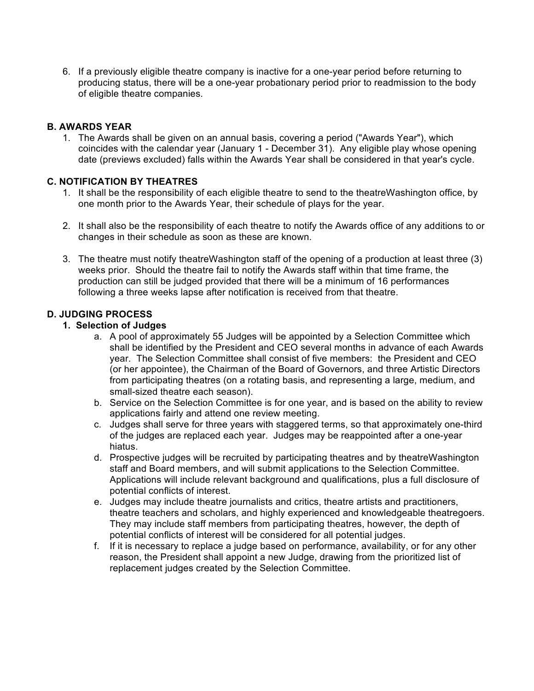6. If a previously eligible theatre company is inactive for a one-year period before returning to producing status, there will be a one-year probationary period prior to readmission to the body of eligible theatre companies.

### **B. AWARDS YEAR**

1. The Awards shall be given on an annual basis, covering a period ("Awards Year"), which coincides with the calendar year (January 1 - December 31). Any eligible play whose opening date (previews excluded) falls within the Awards Year shall be considered in that year's cycle.

#### **C. NOTIFICATION BY THEATRES**

- 1. It shall be the responsibility of each eligible theatre to send to the theatreWashington office, by one month prior to the Awards Year, their schedule of plays for the year.
- 2. It shall also be the responsibility of each theatre to notify the Awards office of any additions to or changes in their schedule as soon as these are known.
- 3. The theatre must notify theatreWashington staff of the opening of a production at least three (3) weeks prior. Should the theatre fail to notify the Awards staff within that time frame, the production can still be judged provided that there will be a minimum of 16 performances following a three weeks lapse after notification is received from that theatre.

#### **D. JUDGING PROCESS**

#### **1. Selection of Judges**

- a. A pool of approximately 55 Judges will be appointed by a Selection Committee which shall be identified by the President and CEO several months in advance of each Awards year. The Selection Committee shall consist of five members: the President and CEO (or her appointee), the Chairman of the Board of Governors, and three Artistic Directors from participating theatres (on a rotating basis, and representing a large, medium, and small-sized theatre each season).
- b. Service on the Selection Committee is for one year, and is based on the ability to review applications fairly and attend one review meeting.
- c. Judges shall serve for three years with staggered terms, so that approximately one-third of the judges are replaced each year. Judges may be reappointed after a one-year hiatus.
- d. Prospective judges will be recruited by participating theatres and by theatreWashington staff and Board members, and will submit applications to the Selection Committee. Applications will include relevant background and qualifications, plus a full disclosure of potential conflicts of interest.
- e. Judges may include theatre journalists and critics, theatre artists and practitioners, theatre teachers and scholars, and highly experienced and knowledgeable theatregoers. They may include staff members from participating theatres, however, the depth of potential conflicts of interest will be considered for all potential judges.
- f. If it is necessary to replace a judge based on performance, availability, or for any other reason, the President shall appoint a new Judge, drawing from the prioritized list of replacement judges created by the Selection Committee.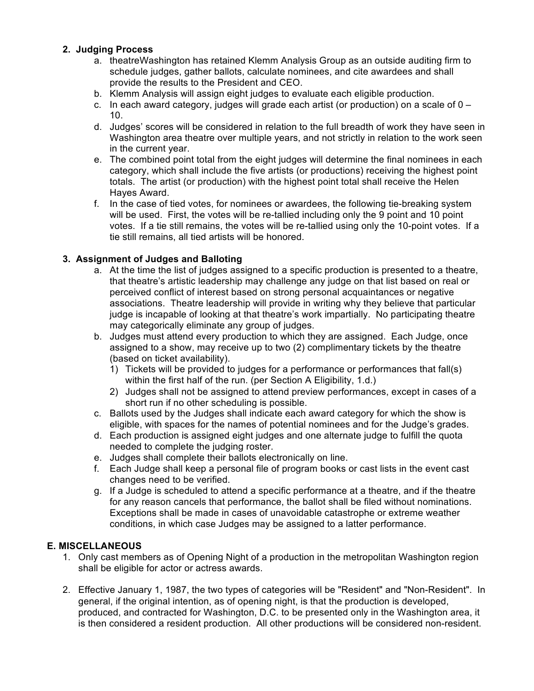# **2. Judging Process**

- a. theatreWashington has retained Klemm Analysis Group as an outside auditing firm to schedule judges, gather ballots, calculate nominees, and cite awardees and shall provide the results to the President and CEO.
- b. Klemm Analysis will assign eight judges to evaluate each eligible production.
- c. In each award category, judges will grade each artist (or production) on a scale of  $0 -$ 10.
- d. Judges' scores will be considered in relation to the full breadth of work they have seen in Washington area theatre over multiple years, and not strictly in relation to the work seen in the current year.
- e. The combined point total from the eight judges will determine the final nominees in each category, which shall include the five artists (or productions) receiving the highest point totals. The artist (or production) with the highest point total shall receive the Helen Hayes Award.
- f. In the case of tied votes, for nominees or awardees, the following tie-breaking system will be used. First, the votes will be re-tallied including only the 9 point and 10 point votes. If a tie still remains, the votes will be re-tallied using only the 10-point votes. If a tie still remains, all tied artists will be honored.

# **3. Assignment of Judges and Balloting**

- a. At the time the list of judges assigned to a specific production is presented to a theatre, that theatre's artistic leadership may challenge any judge on that list based on real or perceived conflict of interest based on strong personal acquaintances or negative associations. Theatre leadership will provide in writing why they believe that particular judge is incapable of looking at that theatre's work impartially. No participating theatre may categorically eliminate any group of judges.
- b. Judges must attend every production to which they are assigned. Each Judge, once assigned to a show, may receive up to two (2) complimentary tickets by the theatre (based on ticket availability).
	- 1) Tickets will be provided to judges for a performance or performances that fall(s) within the first half of the run. (per Section A Eligibility, 1.d.)
	- 2) Judges shall not be assigned to attend preview performances, except in cases of a short run if no other scheduling is possible.
- c. Ballots used by the Judges shall indicate each award category for which the show is eligible, with spaces for the names of potential nominees and for the Judge's grades.
- d. Each production is assigned eight judges and one alternate judge to fulfill the quota needed to complete the judging roster.
- e. Judges shall complete their ballots electronically on line.
- f. Each Judge shall keep a personal file of program books or cast lists in the event cast changes need to be verified.
- g. If a Judge is scheduled to attend a specific performance at a theatre, and if the theatre for any reason cancels that performance, the ballot shall be filed without nominations. Exceptions shall be made in cases of unavoidable catastrophe or extreme weather conditions, in which case Judges may be assigned to a latter performance.

# **E. MISCELLANEOUS**

- 1. Only cast members as of Opening Night of a production in the metropolitan Washington region shall be eligible for actor or actress awards.
- 2. Effective January 1, 1987, the two types of categories will be "Resident" and "Non-Resident". In general, if the original intention, as of opening night, is that the production is developed, produced, and contracted for Washington, D.C. to be presented only in the Washington area, it is then considered a resident production. All other productions will be considered non-resident.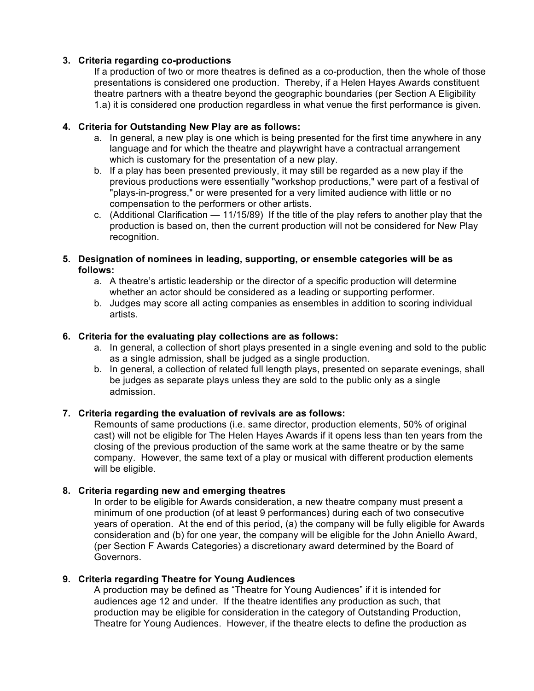# **3. Criteria regarding co-productions**

If a production of two or more theatres is defined as a co-production, then the whole of those presentations is considered one production. Thereby, if a Helen Hayes Awards constituent theatre partners with a theatre beyond the geographic boundaries (per Section A Eligibility 1.a) it is considered one production regardless in what venue the first performance is given.

# **4. Criteria for Outstanding New Play are as follows:**

- a. In general, a new play is one which is being presented for the first time anywhere in any language and for which the theatre and playwright have a contractual arrangement which is customary for the presentation of a new play.
- b. If a play has been presented previously, it may still be regarded as a new play if the previous productions were essentially "workshop productions," were part of a festival of "plays-in-progress," or were presented for a very limited audience with little or no compensation to the performers or other artists.
- c. (Additional Clarification 11/15/89) If the title of the play refers to another play that the production is based on, then the current production will not be considered for New Play recognition.

#### **5. Designation of nominees in leading, supporting, or ensemble categories will be as follows:**

- a. A theatre's artistic leadership or the director of a specific production will determine whether an actor should be considered as a leading or supporting performer.
- b. Judges may score all acting companies as ensembles in addition to scoring individual artists.

# **6. Criteria for the evaluating play collections are as follows:**

- a. In general, a collection of short plays presented in a single evening and sold to the public as a single admission, shall be judged as a single production.
- b. In general, a collection of related full length plays, presented on separate evenings, shall be judges as separate plays unless they are sold to the public only as a single admission.

# **7. Criteria regarding the evaluation of revivals are as follows:**

Remounts of same productions (i.e. same director, production elements, 50% of original cast) will not be eligible for The Helen Hayes Awards if it opens less than ten years from the closing of the previous production of the same work at the same theatre or by the same company. However, the same text of a play or musical with different production elements will be eligible.

# **8. Criteria regarding new and emerging theatres**

In order to be eligible for Awards consideration, a new theatre company must present a minimum of one production (of at least 9 performances) during each of two consecutive years of operation. At the end of this period, (a) the company will be fully eligible for Awards consideration and (b) for one year, the company will be eligible for the John Aniello Award, (per Section F Awards Categories) a discretionary award determined by the Board of Governors.

# **9. Criteria regarding Theatre for Young Audiences**

A production may be defined as "Theatre for Young Audiences" if it is intended for audiences age 12 and under. If the theatre identifies any production as such, that production may be eligible for consideration in the category of Outstanding Production, Theatre for Young Audiences. However, if the theatre elects to define the production as